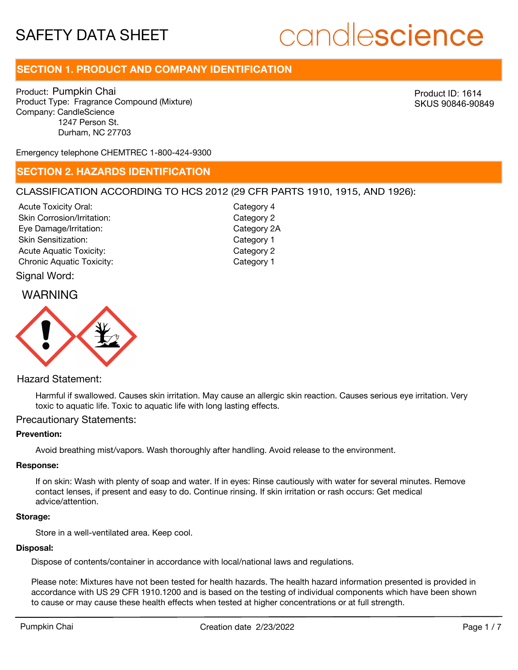# candlescience

# **SECTION 1. PRODUCT AND COMPANY IDENTIFICATION**

Product: Pumpkin Chai Product Type: Fragrance Compound (Mixture) Company: CandleScience 1247 Person St. Durham, NC 27703

Product ID: 1614 SKUS 90846-90849

Emergency telephone CHEMTREC 1-800-424-9300

## **SECTION 2. HAZARDS IDENTIFICATION**

#### CLASSIFICATION ACCORDING TO HCS 2012 (29 CFR PARTS 1910, 1915, AND 1926):

Acute Toxicity Oral: Skin Corrosion/Irritation: Eye Damage/Irritation: Skin Sensitization: Acute Aquatic Toxicity: Category 2 Chronic Aquatic Toxicity: Chronic Aquatic Toxicity:

Category 4 Category 2 Category 2A Category 1

### Signal Word:

## WARNING



### Hazard Statement:

Harmful if swallowed. Causes skin irritation. May cause an allergic skin reaction. Causes serious eye irritation. Very toxic to aquatic life. Toxic to aquatic life with long lasting effects.

#### Precautionary Statements:

#### **Prevention:**

Avoid breathing mist/vapors. Wash thoroughly after handling. Avoid release to the environment.

#### **Response:**

If on skin: Wash with plenty of soap and water. If in eyes: Rinse cautiously with water for several minutes. Remove contact lenses, if present and easy to do. Continue rinsing. If skin irritation or rash occurs: Get medical advice/attention.

#### **Storage:**

Store in a well-ventilated area. Keep cool.

#### **Disposal:**

Dispose of contents/container in accordance with local/national laws and regulations.

Please note: Mixtures have not been tested for health hazards. The health hazard information presented is provided in accordance with US 29 CFR 1910.1200 and is based on the testing of individual components which have been shown to cause or may cause these health effects when tested at higher concentrations or at full strength.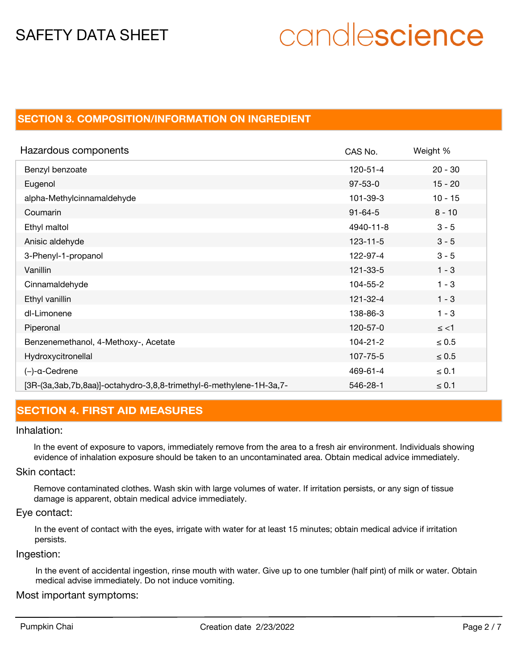# candlescience

# **SECTION 3. COMPOSITION/INFORMATION ON INGREDIENT**

| Hazardous components                                                | CAS No.        | Weight %   |
|---------------------------------------------------------------------|----------------|------------|
| Benzyl benzoate                                                     | $120 - 51 - 4$ | $20 - 30$  |
| Eugenol                                                             | $97 - 53 - 0$  | $15 - 20$  |
| alpha-Methylcinnamaldehyde                                          | 101-39-3       | $10 - 15$  |
| Coumarin                                                            | $91 - 64 - 5$  | $8 - 10$   |
| Ethyl maltol                                                        | 4940-11-8      | $3 - 5$    |
| Anisic aldehyde                                                     | $123 - 11 - 5$ | $3 - 5$    |
| 3-Phenyl-1-propanol                                                 | 122-97-4       | $3 - 5$    |
| Vanillin                                                            | 121-33-5       | $1 - 3$    |
| Cinnamaldehyde                                                      | 104-55-2       | $1 - 3$    |
| Ethyl vanillin                                                      | $121 - 32 - 4$ | $1 - 3$    |
| dl-Limonene                                                         | 138-86-3       | $1 - 3$    |
| Piperonal                                                           | 120-57-0       | $\le$ <1   |
| Benzenemethanol, 4-Methoxy-, Acetate                                | $104 - 21 - 2$ | $\leq 0.5$ |
| Hydroxycitronellal                                                  | 107-75-5       | $\leq 0.5$ |
| $(-)$ -a-Cedrene                                                    | 469-61-4       | $\leq 0.1$ |
| [3R-(3a,3ab,7b,8aa)]-octahydro-3,8,8-trimethyl-6-methylene-1H-3a,7- | 546-28-1       | $\leq 0.1$ |

# **SECTION 4. FIRST AID MEASURES**

#### Inhalation:

In the event of exposure to vapors, immediately remove from the area to a fresh air environment. Individuals showing evidence of inhalation exposure should be taken to an uncontaminated area. Obtain medical advice immediately.

#### Skin contact:

Remove contaminated clothes. Wash skin with large volumes of water. If irritation persists, or any sign of tissue damage is apparent, obtain medical advice immediately.

#### Eye contact:

In the event of contact with the eyes, irrigate with water for at least 15 minutes; obtain medical advice if irritation persists.

#### Ingestion:

In the event of accidental ingestion, rinse mouth with water. Give up to one tumbler (half pint) of milk or water. Obtain medical advise immediately. Do not induce vomiting.

#### Most important symptoms: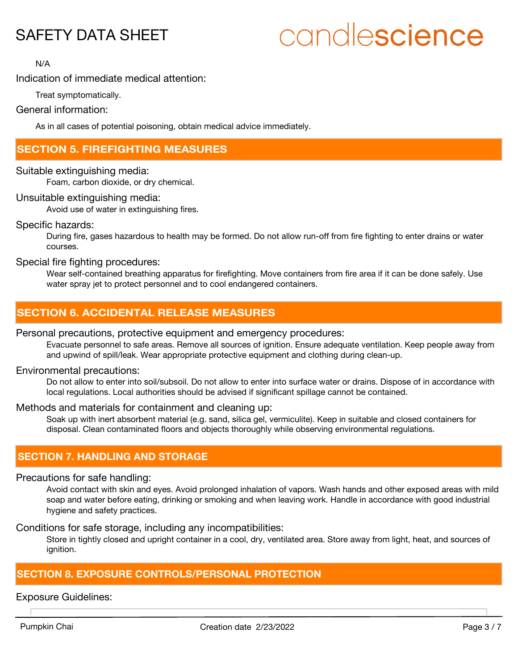# candlescience

N/A

## Indication of immediate medical attention:

Treat symptomatically.

#### General information:

As in all cases of potential poisoning, obtain medical advice immediately.

# **SECTION 5. FIREFIGHTING MEASURES**

Suitable extinguishing media:

Foam, carbon dioxide, or dry chemical.

#### Unsuitable extinguishing media:

Avoid use of water in extinguishing fires.

#### Specific hazards:

During fire, gases hazardous to health may be formed. Do not allow run-off from fire fighting to enter drains or water courses.

#### Special fire fighting procedures:

Wear self-contained breathing apparatus for firefighting. Move containers from fire area if it can be done safely. Use water spray jet to protect personnel and to cool endangered containers.

# **SECTION 6. ACCIDENTAL RELEASE MEASURES**

#### Personal precautions, protective equipment and emergency procedures:

Evacuate personnel to safe areas. Remove all sources of ignition. Ensure adequate ventilation. Keep people away from and upwind of spill/leak. Wear appropriate protective equipment and clothing during clean-up.

#### Environmental precautions:

Do not allow to enter into soil/subsoil. Do not allow to enter into surface water or drains. Dispose of in accordance with local regulations. Local authorities should be advised if significant spillage cannot be contained.

#### Methods and materials for containment and cleaning up:

Soak up with inert absorbent material (e.g. sand, silica gel, vermiculite). Keep in suitable and closed containers for disposal. Clean contaminated floors and objects thoroughly while observing environmental regulations.

### **SECTION 7. HANDLING AND STORAGE**

#### Precautions for safe handling:

Avoid contact with skin and eyes. Avoid prolonged inhalation of vapors. Wash hands and other exposed areas with mild soap and water before eating, drinking or smoking and when leaving work. Handle in accordance with good industrial hygiene and safety practices.

Conditions for safe storage, including any incompatibilities:

Store in tightly closed and upright container in a cool, dry, ventilated area. Store away from light, heat, and sources of ignition.

# **SECTION 8. EXPOSURE CONTROLS/PERSONAL PROTECTION**

#### Exposure Guidelines: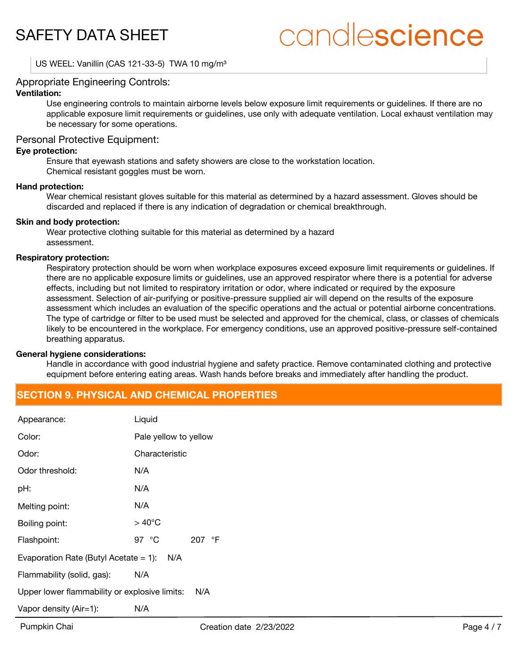# candlescience

US WEEL: Vanillin (CAS 121-33-5) TWA 10 mg/m<sup>3</sup>

#### Appropriate Engineering Controls:

#### **Ventilation:**

Use engineering controls to maintain airborne levels below exposure limit requirements or guidelines. If there are no applicable exposure limit requirements or guidelines, use only with adequate ventilation. Local exhaust ventilation may be necessary for some operations.

#### Personal Protective Equipment:

#### **Eye protection:**

Ensure that eyewash stations and safety showers are close to the workstation location. Chemical resistant goggles must be worn.

#### **Hand protection:**

Wear chemical resistant gloves suitable for this material as determined by a hazard assessment. Gloves should be discarded and replaced if there is any indication of degradation or chemical breakthrough.

#### **Skin and body protection:**

Wear protective clothing suitable for this material as determined by a hazard assessment.

#### **Respiratory protection:**

Respiratory protection should be worn when workplace exposures exceed exposure limit requirements or guidelines. If there are no applicable exposure limits or guidelines, use an approved respirator where there is a potential for adverse effects, including but not limited to respiratory irritation or odor, where indicated or required by the exposure assessment. Selection of air-purifying or positive-pressure supplied air will depend on the results of the exposure assessment which includes an evaluation of the specific operations and the actual or potential airborne concentrations. The type of cartridge or filter to be used must be selected and approved for the chemical, class, or classes of chemicals likely to be encountered in the workplace. For emergency conditions, use an approved positive-pressure self-contained breathing apparatus.

#### **General hygiene considerations:**

Handle in accordance with good industrial hygiene and safety practice. Remove contaminated clothing and protective equipment before entering eating areas. Wash hands before breaks and immediately after handling the product.

# **SECTION 9. PHYSICAL AND CHEMICAL PROPERTIES**

| Appearance:                                          | Liquid                   |  |  |
|------------------------------------------------------|--------------------------|--|--|
| Color:                                               | Pale yellow to yellow    |  |  |
| Odor:                                                | Characteristic           |  |  |
| Odor threshold:                                      | N/A                      |  |  |
| pH:                                                  | N/A                      |  |  |
| Melting point:                                       | N/A                      |  |  |
| Boiling point:                                       | $>40^{\circ}$ C          |  |  |
| Flashpoint:                                          | 97 $\degree$ C<br>207 °F |  |  |
| N/A<br>Evaporation Rate (Butyl Acetate $= 1$ ):      |                          |  |  |
| Flammability (solid, gas):                           | N/A                      |  |  |
| Upper lower flammability or explosive limits:<br>N/A |                          |  |  |
| Vapor density (Air=1):                               | N/A                      |  |  |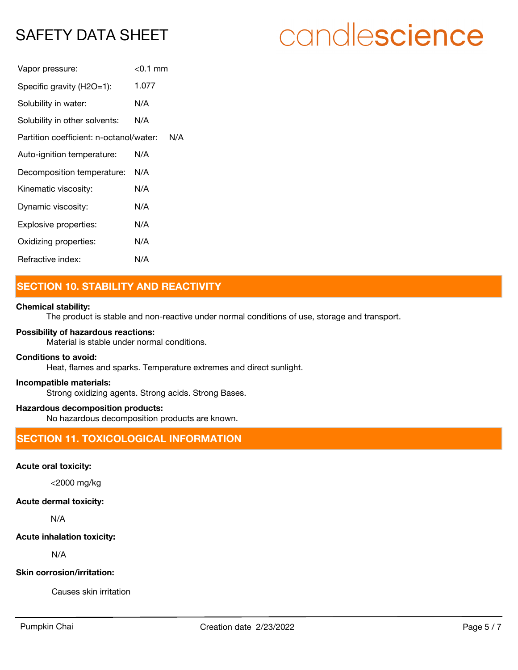# candlescience

| Vapor pressure:                         | $<$ 0.1 mm |
|-----------------------------------------|------------|
| Specific gravity (H2O=1):               | 1.077      |
| Solubility in water:                    | N/A        |
| Solubility in other solvents:           | N/A        |
| Partition coefficient: n-octanol/water: | N/A        |
| Auto-ignition temperature:              | N/A        |
| Decomposition temperature:              | N/A        |
| Kinematic viscosity:                    | N/A        |
| Dynamic viscosity:                      | N/A        |
| Explosive properties:                   | N/A        |
| Oxidizing properties:                   | N/A        |
| Refractive index:                       | N/A        |

# **SECTION 10. STABILITY AND REACTIVITY**

#### **Chemical stability:**

The product is stable and non-reactive under normal conditions of use, storage and transport.

## **Possibility of hazardous reactions:**

Material is stable under normal conditions.

#### **Conditions to avoid:**

Heat, flames and sparks. Temperature extremes and direct sunlight.

#### **Incompatible materials:**

Strong oxidizing agents. Strong acids. Strong Bases.

#### **Hazardous decomposition products:**

No hazardous decomposition products are known.

# **SECTION 11. TOXICOLOGICAL INFORMATION**

## **Acute oral toxicity:**

<2000 mg/kg

#### **Acute dermal toxicity:**

N/A

### **Acute inhalation toxicity:**

N/A

### **Skin corrosion/irritation:**

Causes skin irritation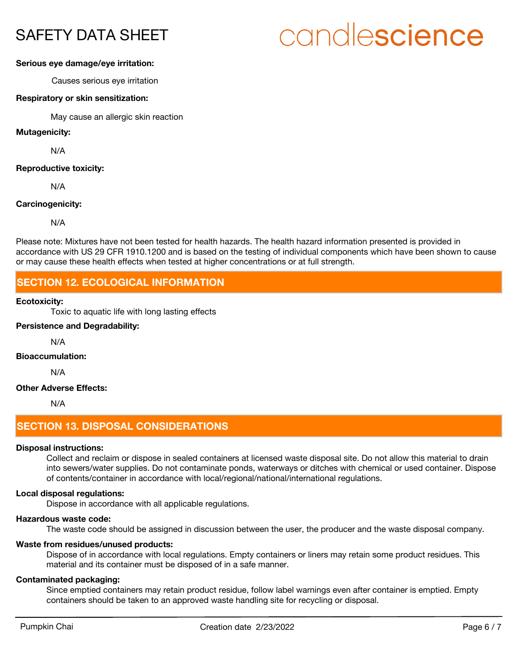# candlescience

#### **Serious eye damage/eye irritation:**

Causes serious eye irritation

#### **Respiratory or skin sensitization:**

May cause an allergic skin reaction

#### **Mutagenicity:**

N/A

#### **Reproductive toxicity:**

N/A

#### **Carcinogenicity:**

N/A

Please note: Mixtures have not been tested for health hazards. The health hazard information presented is provided in accordance with US 29 CFR 1910.1200 and is based on the testing of individual components which have been shown to cause or may cause these health effects when tested at higher concentrations or at full strength.

# **SECTION 12. ECOLOGICAL INFORMATION**

#### **Ecotoxicity:**

Toxic to aquatic life with long lasting effects

#### **Persistence and Degradability:**

N/A

### **Bioaccumulation:**

N/A

#### **Other Adverse Effects:**

N/A

# **SECTION 13. DISPOSAL CONSIDERATIONS**

#### **Disposal instructions:**

Collect and reclaim or dispose in sealed containers at licensed waste disposal site. Do not allow this material to drain into sewers/water supplies. Do not contaminate ponds, waterways or ditches with chemical or used container. Dispose of contents/container in accordance with local/regional/national/international regulations.

#### **Local disposal regulations:**

Dispose in accordance with all applicable regulations.

#### **Hazardous waste code:**

The waste code should be assigned in discussion between the user, the producer and the waste disposal company.

#### **Waste from residues/unused products:**

Dispose of in accordance with local regulations. Empty containers or liners may retain some product residues. This material and its container must be disposed of in a safe manner.

#### **Contaminated packaging:**

Since emptied containers may retain product residue, follow label warnings even after container is emptied. Empty containers should be taken to an approved waste handling site for recycling or disposal.